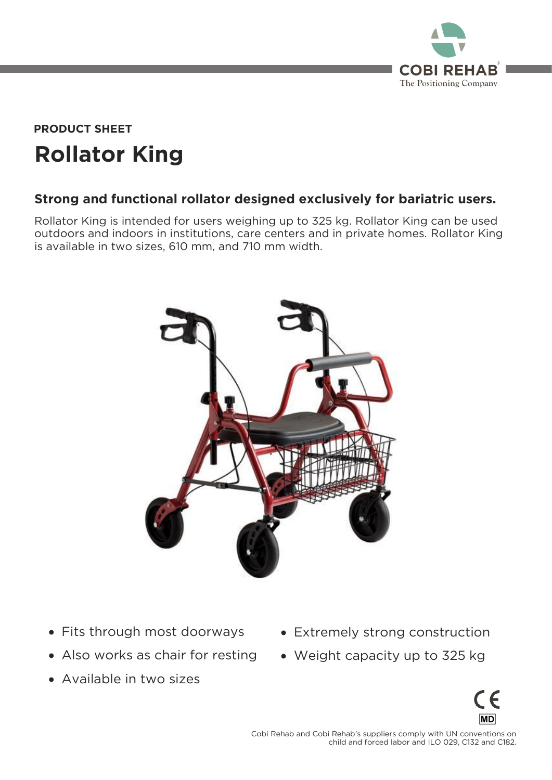

# **Rollator King PRODUCT SHEET**

## **Strong and functional rollator designed exclusively for bariatric users.**

Rollator King is intended for users weighing up to 325 kg. Rollator King can be used<br>outdoors and indoors in institutions, care centers and in private homes. Rollator King is available in two sizes, 610 mm, and 710 mm width. is available in two sizes, 610 mm, and 710 mm width.



- Fits through most doorways
- Also works as chair for resting
- Available in two sizes
- Extremely strong construction
- Weight capacity up to 325 kg



 $\frac{1}{2}$  child and forced labor and II O 029 C132 and C182 child and forced labor and ILO 029, C132 and C132 and C182.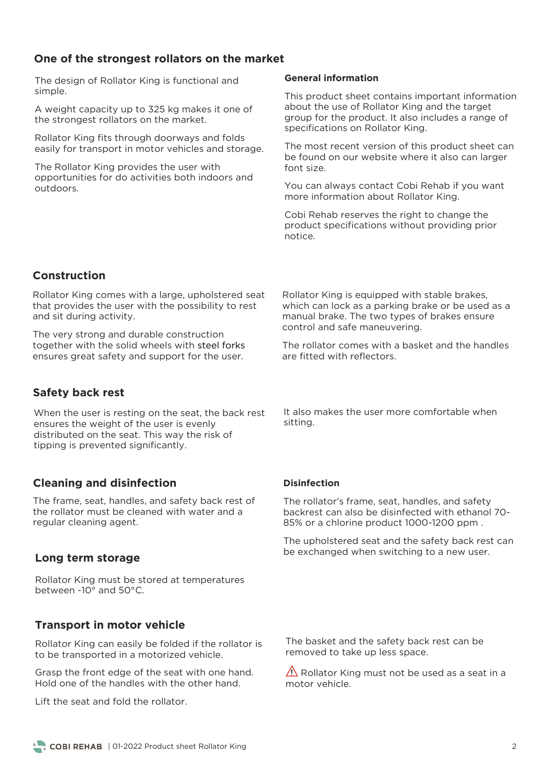#### **One of the strongest rollators on the market**

The design of Rollator King is functional and simple.

A weight capacity up to 325 kg makes it one of the strongest rollators on the market. the strongest rollators on the market.

Rollator King fits through doorways and folds<br>easily for transport in motor vehicles and storage. easily for transport in motor vehicles and storage.

The Rollator King provides the user with<br>opportunities for do activities both indoors and outdoors.

#### **General information**

This product sheet contains important information<br>about the use of Rollator King and the target group for the product. It also includes a range of specifications on Rollator King. specifications on Rollator King.

The most recent version of this product sheet can be found on our website where it also can larger font size.

You can always contact Cobi Rehab if you want<br>more information about Rollator King. more information about Rollator King.

continuatives the right to change the product specifications without providing prior

## **Construction**

Rollator King comes with a large, upholstered seat that provides the user with the possibility to rest and sit during activity  $\frac{1}{\sqrt{2}}$ and sit during activity.

The very strong and durable construction<br>together with the solid wheels with steel forks ensures great safety and support for the user. ensures great safety and support for the user.

## **Safety back rest**

When the user is resting on the seat, the back rest ensures the weight of the user is evenly distributed on the seat. This way the risk of tipping is prevented significantly. tipping is prevented significantly.

## **Cleaning and disinfection**

The frame, seat, handles, and safety back rest of the rollator must be cleaned with water and a regular cleaning agent. regular cleaning agent.

#### **Long term storage**

Rollator King must be stored at temperatures between -10° and 50°C.

#### **Transport in motor vehicle**

Rollator King can easily be folded if the rollator is<br>to be transported in a motorized vehicle. to be transported in a motorized vehicle.

Grasp the front edge of the seat with one hand.<br>Hold one of the handles with the other hand.

Rollator King is equipped with stable brakes,<br>which can lock as a parking brake or be used as a manual brake. The two types of brakes ensure control and safe maneuvering. control and safe maneuvering.

The rollator comes with a basket and the handles are fitted with reflectors.

It also makes the user more comfortable when sitting. sitting.

#### **Disinfection**

The rollator's frame, seat, handles, and safety  $85%$  or a chlorine product  $1000-1200$  ppm 85% or a chlorine product 1000-1200 ppm .

The upholstered seat and the safety back rest can<br>be exchanged when switching to a new user. be exchanged when switching to a new user.

removed to take un less space removed to take up less space.

 $\overline{\text{A}}$  Rollator King must not be used as a seat in a motor vehicle.